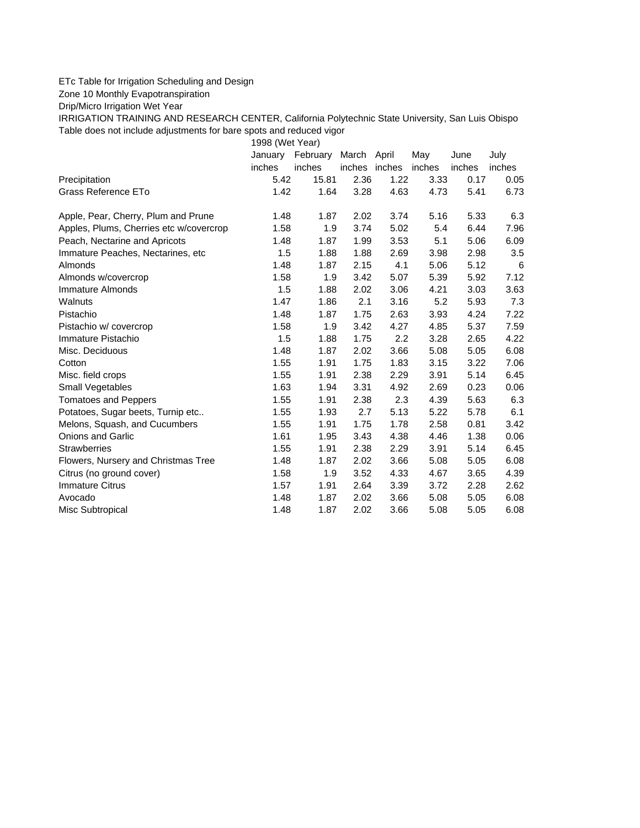## ETc Table for Irrigation Scheduling and Design

Zone 10 Monthly Evapotranspiration

Drip/Micro Irrigation Wet Year

IRRIGATION TRAINING AND RESEARCH CENTER, California Polytechnic State University, San Luis Obispo Table does not include adjustments for bare spots and reduced vigor

1998 (Wet Year)

|                                         | January | February | March  | April  | May    | June   | July   |
|-----------------------------------------|---------|----------|--------|--------|--------|--------|--------|
|                                         | inches  | inches   | inches | inches | inches | inches | inches |
| Precipitation                           | 5.42    | 15.81    | 2.36   | 1.22   | 3.33   | 0.17   | 0.05   |
| Grass Reference ETo                     | 1.42    | 1.64     | 3.28   | 4.63   | 4.73   | 5.41   | 6.73   |
| Apple, Pear, Cherry, Plum and Prune     | 1.48    | 1.87     | 2.02   | 3.74   | 5.16   | 5.33   | 6.3    |
| Apples, Plums, Cherries etc w/covercrop | 1.58    | 1.9      | 3.74   | 5.02   | 5.4    | 6.44   | 7.96   |
| Peach, Nectarine and Apricots           | 1.48    | 1.87     | 1.99   | 3.53   | 5.1    | 5.06   | 6.09   |
| Immature Peaches, Nectarines, etc       | 1.5     | 1.88     | 1.88   | 2.69   | 3.98   | 2.98   | 3.5    |
| Almonds                                 | 1.48    | 1.87     | 2.15   | 4.1    | 5.06   | 5.12   | 6      |
| Almonds w/covercrop                     | 1.58    | 1.9      | 3.42   | 5.07   | 5.39   | 5.92   | 7.12   |
| Immature Almonds                        | 1.5     | 1.88     | 2.02   | 3.06   | 4.21   | 3.03   | 3.63   |
| Walnuts                                 | 1.47    | 1.86     | 2.1    | 3.16   | 5.2    | 5.93   | 7.3    |
| Pistachio                               | 1.48    | 1.87     | 1.75   | 2.63   | 3.93   | 4.24   | 7.22   |
| Pistachio w/ covercrop                  | 1.58    | 1.9      | 3.42   | 4.27   | 4.85   | 5.37   | 7.59   |
| Immature Pistachio                      | 1.5     | 1.88     | 1.75   | 2.2    | 3.28   | 2.65   | 4.22   |
| Misc. Deciduous                         | 1.48    | 1.87     | 2.02   | 3.66   | 5.08   | 5.05   | 6.08   |
| Cotton                                  | 1.55    | 1.91     | 1.75   | 1.83   | 3.15   | 3.22   | 7.06   |
| Misc. field crops                       | 1.55    | 1.91     | 2.38   | 2.29   | 3.91   | 5.14   | 6.45   |
| <b>Small Vegetables</b>                 | 1.63    | 1.94     | 3.31   | 4.92   | 2.69   | 0.23   | 0.06   |
| <b>Tomatoes and Peppers</b>             | 1.55    | 1.91     | 2.38   | 2.3    | 4.39   | 5.63   | 6.3    |
| Potatoes, Sugar beets, Turnip etc       | 1.55    | 1.93     | 2.7    | 5.13   | 5.22   | 5.78   | 6.1    |
| Melons, Squash, and Cucumbers           | 1.55    | 1.91     | 1.75   | 1.78   | 2.58   | 0.81   | 3.42   |
| <b>Onions and Garlic</b>                | 1.61    | 1.95     | 3.43   | 4.38   | 4.46   | 1.38   | 0.06   |
| <b>Strawberries</b>                     | 1.55    | 1.91     | 2.38   | 2.29   | 3.91   | 5.14   | 6.45   |
| Flowers, Nursery and Christmas Tree     | 1.48    | 1.87     | 2.02   | 3.66   | 5.08   | 5.05   | 6.08   |
| Citrus (no ground cover)                | 1.58    | 1.9      | 3.52   | 4.33   | 4.67   | 3.65   | 4.39   |
| <b>Immature Citrus</b>                  | 1.57    | 1.91     | 2.64   | 3.39   | 3.72   | 2.28   | 2.62   |
| Avocado                                 | 1.48    | 1.87     | 2.02   | 3.66   | 5.08   | 5.05   | 6.08   |
| Misc Subtropical                        | 1.48    | 1.87     | 2.02   | 3.66   | 5.08   | 5.05   | 6.08   |